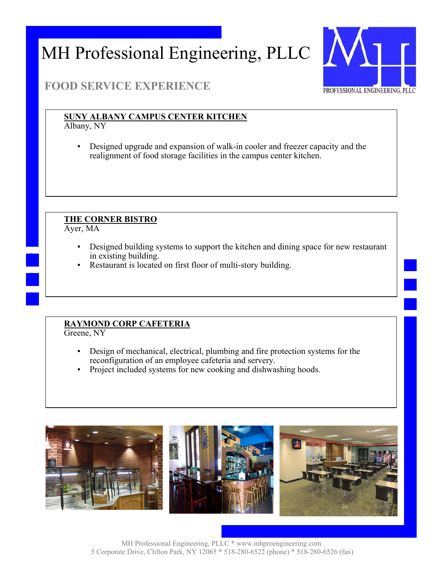

### **FOOD SERVICE EXPERIENCE**

### **SUNY ALBANY CAMPUS CENTER KITCHEN**

Albany, NY

Designed upgrade and expansion of walk-in cooler and freezer capacity and the realignment of food storage facilities in the campus center kitchen.

#### **THE CORNER BISTRO**

Ayer, MA

- Designed building systems to support the kitchen and dining space for new restaurant in existing building.
- Restaurant is located on first floor of multi-story building.

### **RAYMOND CORP CAFETERIA**

Greene, NY

- Design of mechanical, electrical, plumbing and fire protection systems for the reconfiguration of an employee cafeteria and servery.
- Project included systems for new cooking and dishwashing hoods.

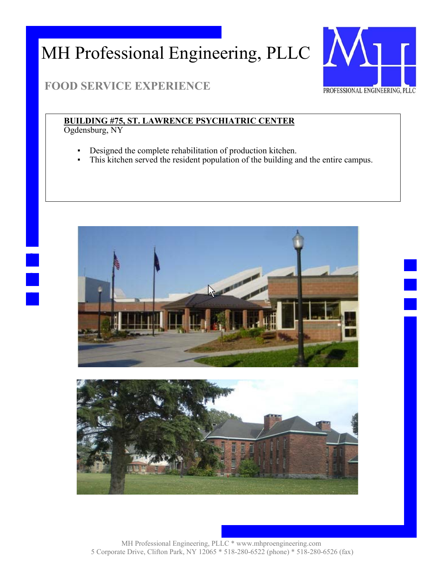

## **FOOD SERVICE EXPERIENCE**

## **BUILDING #75, ST. LAWRENCE PSYCHIATRIC CENTER**

Ogdensburg, NY

- Designed the complete rehabilitation of production kitchen.
- This kitchen served the resident population of the building and the entire campus.



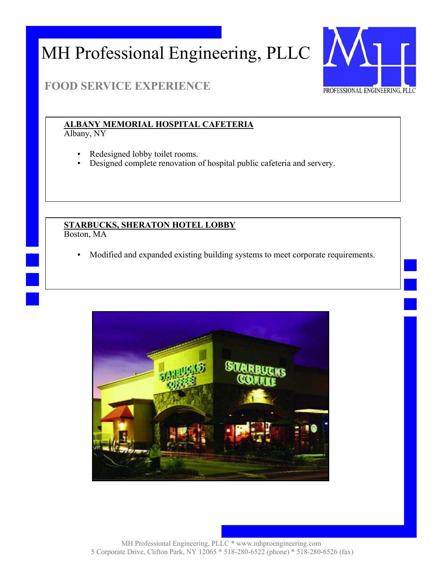

### **FOOD SERVICE EXPERIENCE**

### **ALBANY MEMORIAL HOSPITAL CAFETERIA**

Albany, NY

- Redesigned lobby toilet rooms.
- Designed complete renovation of hospital public cafeteria and servery.

#### **STARBUCKS, SHERATON HOTEL LOBBY**  Boston, MA

Modified and expanded existing building systems to meet corporate requirements.